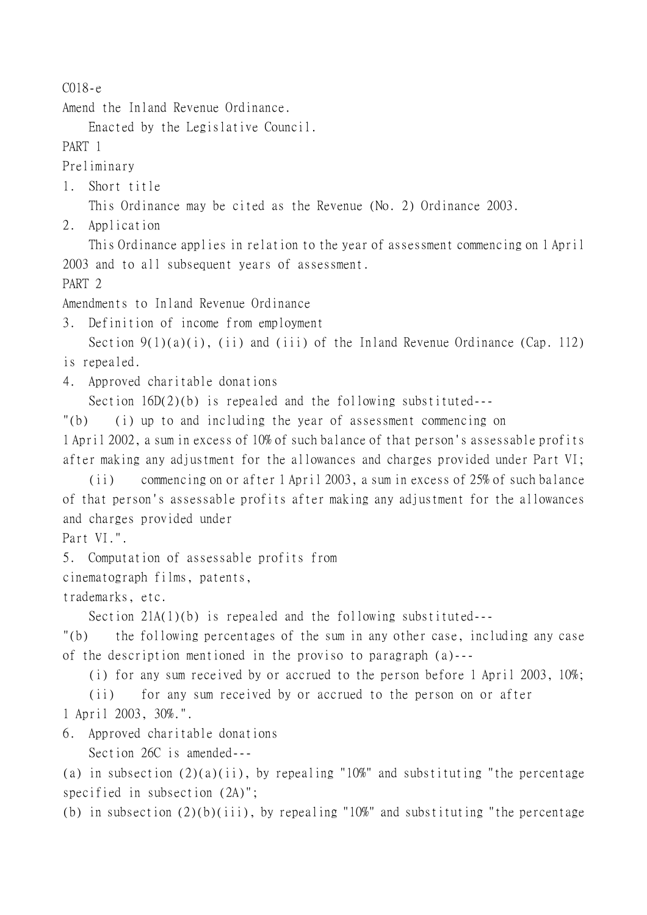C018-e

Amend the Inland Revenue Ordinance.

Enacted by the Legislative Council.

PART 1

Preliminary

1. Short title

This Ordinance may be cited as the Revenue (No. 2) Ordinance 2003.

2. Application

This Ordinance applies in relation to the year of assessment commencing on 1 April 2003 and to all subsequent years of assessment.

PART<sub>2</sub>

Amendments to Inland Revenue Ordinance

3. Definition of income from employment

Section 9(1)(a)(i), (ii) and (iii) of the Inland Revenue Ordinance (Cap. 112) is repealed.

4. Approved charitable donations

Section 16D(2)(b) is repealed and the following substituted---

"(b) (i) up to and including the year of assessment commencing on

1 April 2002, a sum in excess of 10% of such balance of that person's assessable profits after making any adjustment for the allowances and charges provided under Part VI;

(ii) commencing on or after 1 April 2003, a sum in excess of 25% of such balance of that person's assessable profits after making any adjustment for the allowances and charges provided under

Part VI.".

5. Computation of assessable profits from

cinematograph films, patents,

trademarks, etc.

Section 21A(1)(b) is repealed and the following substituted---

"(b) the following percentages of the sum in any other case, including any case of the description mentioned in the proviso to paragraph (a)---

(i) for any sum received by or accrued to the person before 1 April 2003, 10%;

(ii) for any sum received by or accrued to the person on or after 1 April 2003, 30%.".

6. Approved charitable donations

Section 26C is amended---

(a) in subsection  $(2)(a)(ii)$ , by repealing "10%" and substituting "the percentage specified in subsection (2A)";

(b) in subsection  $(2)(b)(iii)$ , by repealing "10%" and substituting "the percentage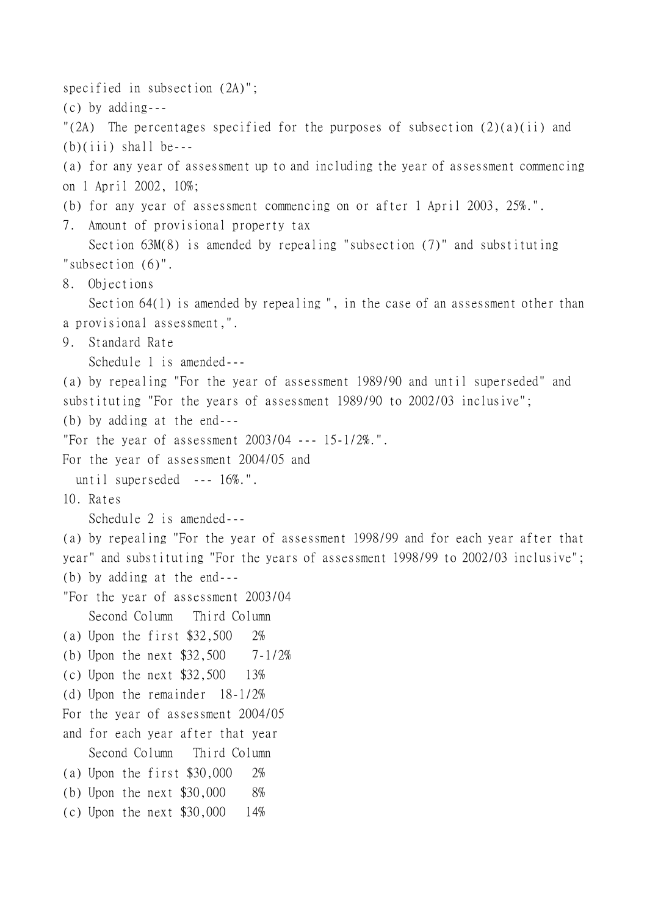specified in subsection (2A)"; (c) by adding--- "(2A) The percentages specified for the purposes of subsection  $(2)(a)(ii)$  and  $(b)(iii)$  shall be---(a) for any year of assessment up to and including the year of assessment commencing on 1 April 2002, 10%; (b) for any year of assessment commencing on or after 1 April 2003, 25%.". 7. Amount of provisional property tax Section 63M(8) is amended by repealing "subsection (7)" and substituting "subsection (6)". 8. Objections Section 64(1) is amended by repealing ", in the case of an assessment other than a provisional assessment,". 9. Standard Rate Schedule 1 is amended--- (a) by repealing "For the year of assessment 1989/90 and until superseded" and substituting "For the years of assessment 1989/90 to 2002/03 inclusive"; (b) by adding at the end--- "For the year of assessment 2003/04 --- 15-1/2%.". For the year of assessment 2004/05 and until superseded --- 16%.". 10. Rates Schedule 2 is amended--- (a) by repealing "For the year of assessment 1998/99 and for each year after that year" and substituting "For the years of assessment 1998/99 to 2002/03 inclusive"; (b) by adding at the end--- "For the year of assessment 2003/04 Second Column Third Column (a) Upon the first \$32,500 2% (b) Upon the next \$32,500 7-1/2% (c) Upon the next \$32,500 13% (d) Upon the remainder 18-1/2% For the year of assessment 2004/05 and for each year after that year Second Column Third Column (a) Upon the first \$30,000 2% (b) Upon the next \$30,000 8% (c) Upon the next \$30,000 14%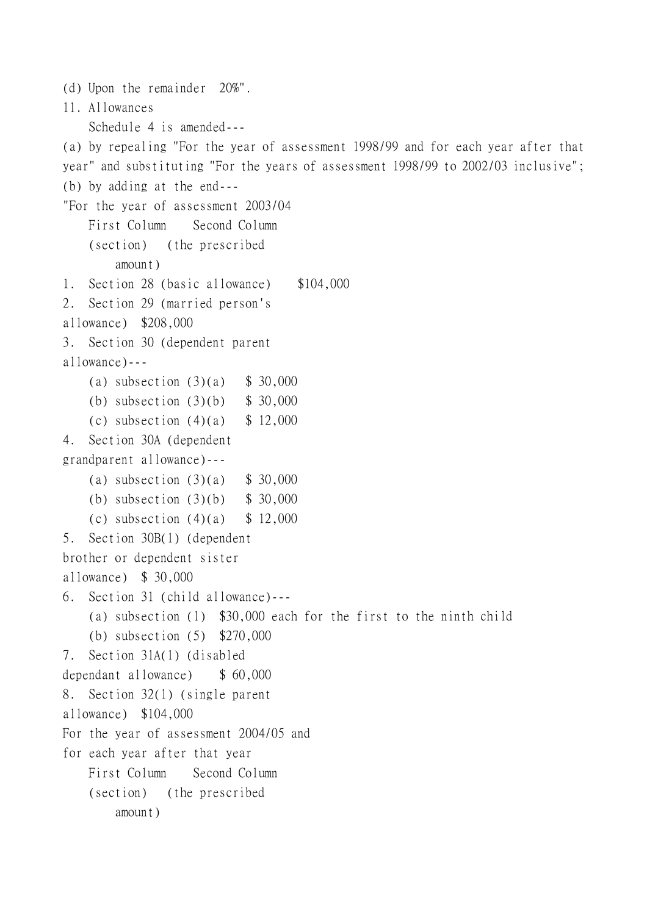```
(d) Upon the remainder 20%".
11. Allowances
    Schedule 4 is amended---
(a) by repealing "For the year of assessment 1998/99 and for each year after that
year" and substituting "For the years of assessment 1998/99 to 2002/03 inclusive";
(b) by adding at the end---
"For the year of assessment 2003/04
    First Column Second Column
    (section) (the prescribed
        amount)
1. Section 28 (basic allowance) $104,000
2. Section 29 (married person's 
allowance) $208,000
3. Section 30 (dependent parent
allowance)---
    (a) subsection (3)(a) $ 30,000
    (b) subsection (3)(b) $ 30,000
    (c) subsection (4)(a) $ 12,000
4. Section 30A (dependent
grandparent allowance)---
    (a) subsection (3)(a) $ 30,000
    (b) subsection (3)(b) $ 30,000
    (c) subsection (4)(a) $ 12,000
5. Section 30B(1) (dependent
brother or dependent sister
allowance) $ 30,000
6. Section 31 (child allowance)---
    (a) subsection (1) $30,000 each for the first to the ninth child
    (b) subsection (5) $270,000
7. Section 31A(1) (disabled
dependant allowance) $ 60,000
8. Section 32(1) (single parent
allowance) $104,000
For the year of assessment 2004/05 and
for each year after that year
    First Column Second Column
    (section) (the prescribed
        amount)
```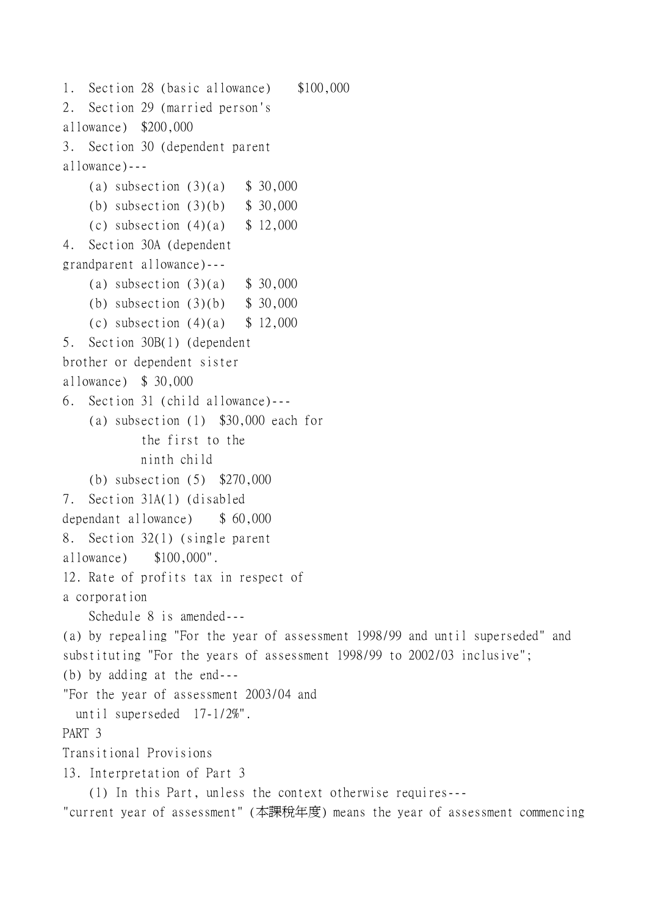2. Section 29 (married person's allowance) \$200,000 3. Section 30 (dependent parent allowance)--- (a) subsection  $(3)(a)$  \$ 30,000 (b) subsection (3)(b) \$ 30,000 (c) subsection  $(4)(a)$  \$ 12,000 4. Section 30A (dependent grandparent allowance)--- (a) subsection  $(3)(a)$  \$ 30,000 (b) subsection (3)(b) \$ 30,000 (c) subsection  $(4)(a)$  \$ 12,000 5. Section 30B(1) (dependent brother or dependent sister allowance) \$ 30,000 6. Section 31 (child allowance)--- (a) subsection (1) \$30,000 each for the first to the ninth child (b) subsection (5) \$270,000 7. Section 31A(1) (disabled dependant allowance) \$ 60,000 8. Section 32(1) (single parent allowance) \$100,000". 12. Rate of profits tax in respect of a corporation Schedule 8 is amended--- (a) by repealing "For the year of assessment 1998/99 and until superseded" and substituting "For the years of assessment 1998/99 to 2002/03 inclusive"; (b) by adding at the end--- "For the year of assessment 2003/04 and until superseded 17-1/2%". PART 3 Transitional Provisions 13. Interpretation of Part 3 (1) In this Part, unless the context otherwise requires--- "current year of assessment" (本課稅年度) means the year of assessment commencing

1. Section 28 (basic allowance) \$100,000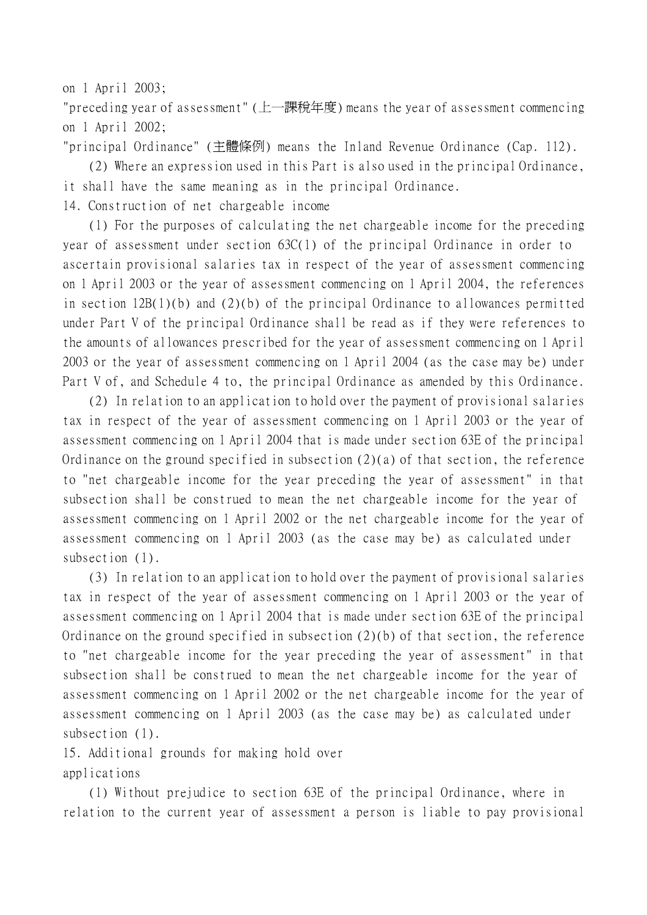on 1 April 2003;

"preceding year of assessment" (㆖㆒課稅年度) means the year of assessment commencing on 1 April 2002;

"principal Ordinance" (主體條例) means the Inland Revenue Ordinance (Cap. 112).

(2) Where an expression used in this Part is also used in the principal Ordinance, it shall have the same meaning as in the principal Ordinance.

14. Construction of net chargeable income

(1) For the purposes of calculating the net chargeable income for the preceding year of assessment under section 63C(1) of the principal Ordinance in order to ascertain provisional salaries tax in respect of the year of assessment commencing on 1 April 2003 or the year of assessment commencing on 1 April 2004, the references in section 12B(1)(b) and (2)(b) of the principal Ordinance to allowances permitted under Part V of the principal Ordinance shall be read as if they were references to the amounts of allowances prescribed for the year of assessment commencing on 1 April 2003 or the year of assessment commencing on 1 April 2004 (as the case may be) under Part V of, and Schedule 4 to, the principal Ordinance as amended by this Ordinance.

(2) In relation to an application to hold over the payment of provisional salaries tax in respect of the year of assessment commencing on 1 April 2003 or the year of assessment commencing on 1 April 2004 that is made under section 63E of the principal Ordinance on the ground specified in subsection  $(2)(a)$  of that section, the reference to "net chargeable income for the year preceding the year of assessment" in that subsection shall be construed to mean the net chargeable income for the year of assessment commencing on 1 April 2002 or the net chargeable income for the year of assessment commencing on 1 April 2003 (as the case may be) as calculated under subsection (1).

(3) In relation to an application to hold over the payment of provisional salaries tax in respect of the year of assessment commencing on 1 April 2003 or the year of assessment commencing on 1 April 2004 that is made under section 63E of the principal Ordinance on the ground specified in subsection (2)(b) of that section, the reference to "net chargeable income for the year preceding the year of assessment" in that subsection shall be construed to mean the net chargeable income for the year of assessment commencing on 1 April 2002 or the net chargeable income for the year of assessment commencing on 1 April 2003 (as the case may be) as calculated under subsection (1).

15. Additional grounds for making hold over applications

(1) Without prejudice to section 63E of the principal Ordinance, where in relation to the current year of assessment a person is liable to pay provisional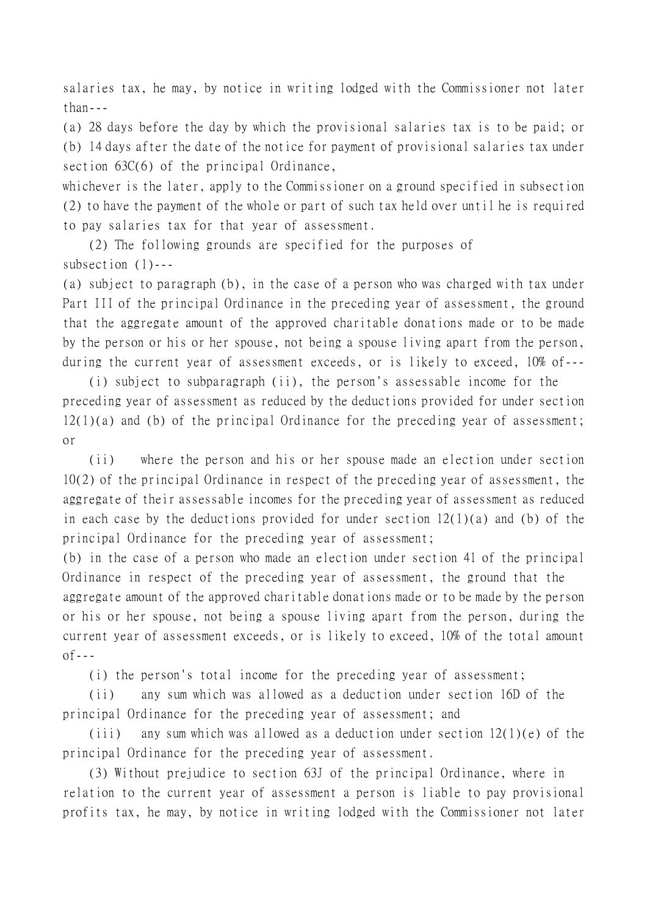salaries tax, he may, by notice in writing lodged with the Commissioner not later than---

(a) 28 days before the day by which the provisional salaries tax is to be paid; or (b) 14 days after the date of the notice for payment of provisional salaries tax under section 63C(6) of the principal Ordinance,

whichever is the later, apply to the Commissioner on a ground specified in subsection (2) to have the payment of the whole or part of such tax held over until he is required to pay salaries tax for that year of assessment.

(2) The following grounds are specified for the purposes of subsection (1)---

(a) subject to paragraph (b), in the case of a person who was charged with tax under Part III of the principal Ordinance in the preceding year of assessment, the ground that the aggregate amount of the approved charitable donations made or to be made by the person or his or her spouse, not being a spouse living apart from the person, during the current year of assessment exceeds, or is likely to exceed, 10% of---

(i) subject to subparagraph (ii), the person's assessable income for the preceding year of assessment as reduced by the deductions provided for under section 12(1)(a) and (b) of the principal Ordinance for the preceding year of assessment; or

(ii) where the person and his or her spouse made an election under section 10(2) of the principal Ordinance in respect of the preceding year of assessment, the aggregate of their assessable incomes for the preceding year of assessment as reduced in each case by the deductions provided for under section 12(1)(a) and (b) of the principal Ordinance for the preceding year of assessment;

(b) in the case of a person who made an election under section 41 of the principal Ordinance in respect of the preceding year of assessment, the ground that the aggregate amount of the approved charitable donations made or to be made by the person or his or her spouse, not being a spouse living apart from the person, during the current year of assessment exceeds, or is likely to exceed, 10% of the total amount  $of --$ 

(i) the person's total income for the preceding year of assessment;

(ii) any sum which was allowed as a deduction under section 16D of the principal Ordinance for the preceding year of assessment; and

(iii) any sum which was allowed as a deduction under section  $12(1)(e)$  of the principal Ordinance for the preceding year of assessment.

(3) Without prejudice to section 63J of the principal Ordinance, where in relation to the current year of assessment a person is liable to pay provisional profits tax, he may, by notice in writing lodged with the Commissioner not later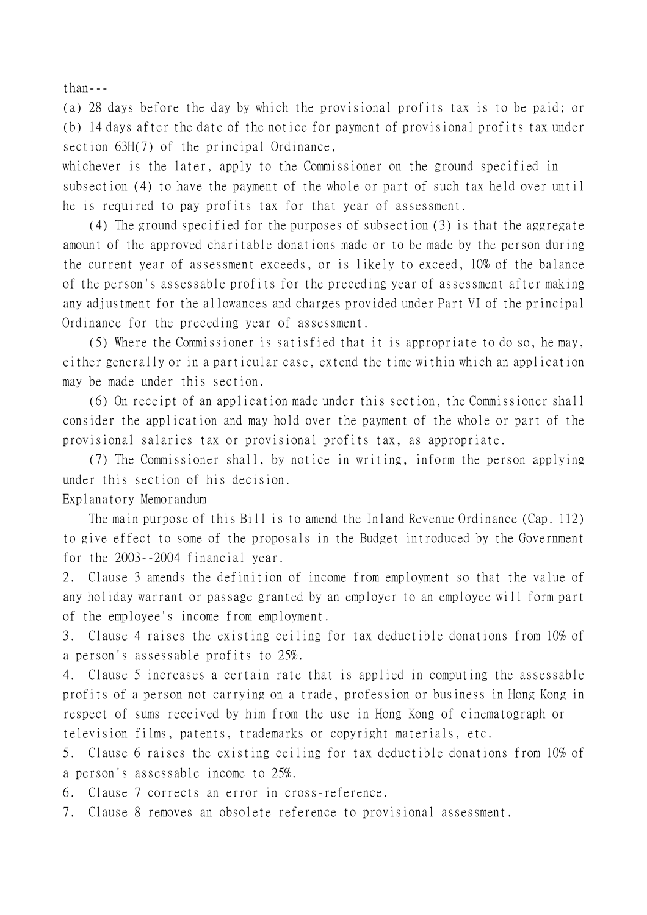than---

(a) 28 days before the day by which the provisional profits tax is to be paid; or (b) 14 days after the date of the notice for payment of provisional profits tax under section 63H(7) of the principal Ordinance,

whichever is the later, apply to the Commissioner on the ground specified in subsection (4) to have the payment of the whole or part of such tax held over until he is required to pay profits tax for that year of assessment.

(4) The ground specified for the purposes of subsection (3) is that the aggregate amount of the approved charitable donations made or to be made by the person during the current year of assessment exceeds, or is likely to exceed, 10% of the balance of the person's assessable profits for the preceding year of assessment after making any adjustment for the allowances and charges provided under Part VI of the principal Ordinance for the preceding year of assessment.

(5) Where the Commissioner is satisfied that it is appropriate to do so, he may, either generally or in a particular case, extend the time within which an application may be made under this section.

(6) On receipt of an application made under this section, the Commissioner shall consider the application and may hold over the payment of the whole or part of the provisional salaries tax or provisional profits tax, as appropriate.

(7) The Commissioner shall, by notice in writing, inform the person applying under this section of his decision.

Explanatory Memorandum

The main purpose of this Bill is to amend the Inland Revenue Ordinance (Cap. 112) to give effect to some of the proposals in the Budget introduced by the Government for the 2003--2004 financial year.

2. Clause 3 amends the definition of income from employment so that the value of any holiday warrant or passage granted by an employer to an employee will form part of the employee's income from employment.

3. Clause 4 raises the existing ceiling for tax deductible donations from 10% of a person's assessable profits to 25%.

4. Clause 5 increases a certain rate that is applied in computing the assessable profits of a person not carrying on a trade, profession or business in Hong Kong in respect of sums received by him from the use in Hong Kong of cinematograph or television films, patents, trademarks or copyright materials, etc.

5. Clause 6 raises the existing ceiling for tax deductible donations from 10% of a person's assessable income to 25%.

6. Clause 7 corrects an error in cross-reference.

7. Clause 8 removes an obsolete reference to provisional assessment.